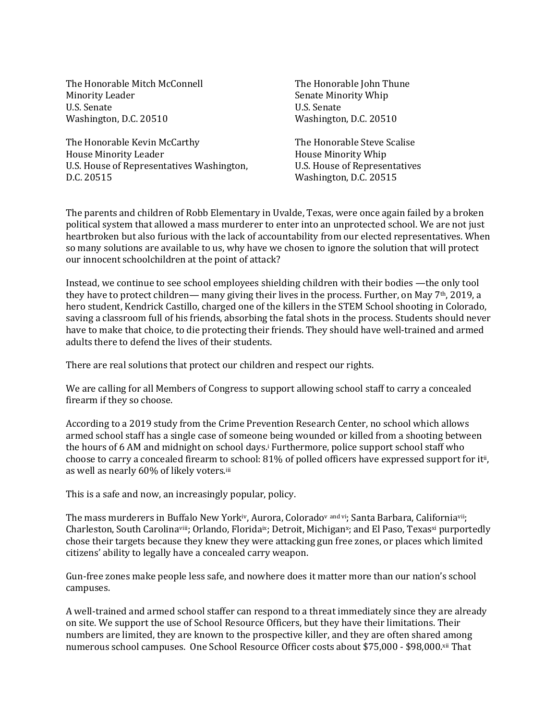The Honorable Mitch McConnell **Minority Leader** U.S. Senate Washington, D.C. 20510

The Honorable Kevin McCarthy House Minority Leader U.S. House of Representatives Washington, D.C. 20515

The Honorable John Thune Senate Minority Whip U.S. Senate Washington, D.C. 20510

The Honorable Steve Scalise House Minority Whip U.S. House of Representatives Washington, D.C. 20515

The parents and children of Robb Elementary in Uvalde, Texas, were once again failed by a broken political system that allowed a mass murderer to enter into an unprotected school. We are not just heartbroken but also furious with the lack of accountability from our elected representatives. When so many solutions are available to us, why have we chosen to ignore the solution that will protect our innocent schoolchildren at the point of attack?

Instead, we continue to see school employees shielding children with their bodies —the only tool they have to protect children— many giving their lives in the process. Further, on May 7<sup>th</sup>, 2019, a hero student, Kendrick Castillo, charged one of the killers in the STEM School shooting in Colorado, saving a classroom full of his friends, absorbing the fatal shots in the process. Students should never have to make that choice, to die protecting their friends. They should have well-trained and armed adults there to defend the lives of their students.

There are real solutions that protect our children and respect our rights.

We are calling for all Members of Congress to support allowing school staff to carry a concealed firearm if they so choose.

According to a 2019 study from the Crime Prevention Research Center, no school which allows armed school staff has a single case of someone being wounded or killed from a shooting between the hours of 6 AM and midnight on school days.<sup>i</sup> Furthermore, police support school staff who choose to carry a concealed firearm to school: 81% of polled officers have expressed support for it<sup>i</sup>, as well as nearly 60% of likely voters.<sup>iii</sup>

This is a safe and now, an increasingly popular, policy.

The mass murderers in Buffalo New Yorkiv, Aurora, Coloradov and vi; Santa Barbara, Californiavii; Charleston, South Carolinaviii; Orlando, Floridaix; Detroit, Michiganx; and El Paso, Texasxi purportedly chose their targets because they knew they were attacking gun free zones, or places which limited citizens' ability to legally have a concealed carry weapon.

Gun-free zones make people less safe, and nowhere does it matter more than our nation's school campuses.

A well-trained and armed school staffer can respond to a threat immediately since they are already on site. We support the use of School Resource Officers, but they have their limitations. Their numbers are limited, they are known to the prospective killer, and they are often shared among numerous school campuses. One School Resource Officer costs about \$75,000 - \$98,000.xii That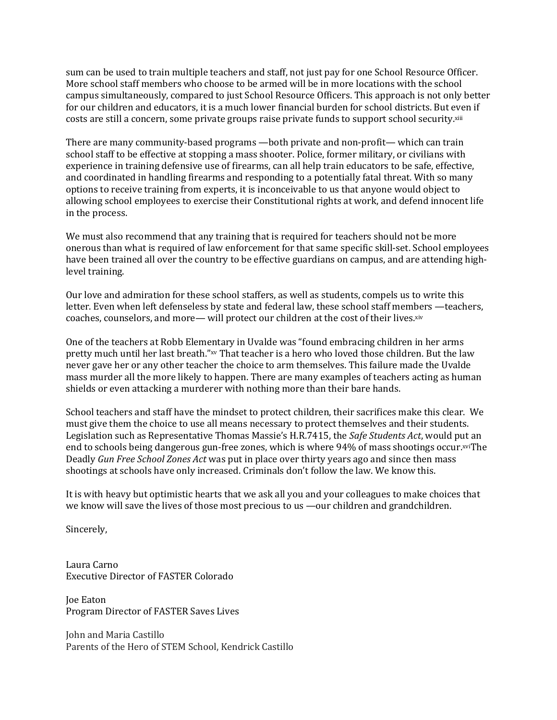sum can be used to train multiple teachers and staff, not just pay for one School Resource Officer. More school staff members who choose to be armed will be in more locations with the school campus simultaneously, compared to just School Resource Officers. This approach is not only better for our children and educators, it is a much lower financial burden for school districts. But even if costs are still a concern, some private groups raise private funds to support school security.xiii

There are many community-based programs —both private and non-profit— which can train school staff to be effective at stopping a mass shooter. Police, former military, or civilians with experience in training defensive use of firearms, can all help train educators to be safe, effective, and coordinated in handling firearms and responding to a potentially fatal threat. With so many options to receive training from experts, it is inconceivable to us that anyone would object to allowing school employees to exercise their Constitutional rights at work, and defend innocent life in the process.

We must also recommend that any training that is required for teachers should not be more onerous than what is required of law enforcement for that same specific skill-set. School employees have been trained all over the country to be effective guardians on campus, and are attending highlevel training.

Our love and admiration for these school staffers, as well as students, compels us to write this letter. Even when left defenseless by state and federal law, these school staff members —teachers, coaches, counselors, and more— will protect our children at the cost of their lives.xiv

One of the teachers at Robb Elementary in Uvalde was "found embracing children in her arms pretty much until her last breath."xv That teacher is a hero who loved those children. But the law never gave her or any other teacher the choice to arm themselves. This failure made the Uvalde mass murder all the more likely to happen. There are many examples of teachers acting as human shields or even attacking a murderer with nothing more than their bare hands.

School teachers and staff have the mindset to protect children, their sacrifices make this clear. We must give them the choice to use all means necessary to protect themselves and their students. Legislation such as Representative Thomas Massie's H.R.7415, the *Safe Students Act*, would put an end to schools being dangerous gun-free zones, which is where 94% of mass shootings occur.xviThe Deadly *Gun Free School Zones Act* was put in place over thirty years ago and since then mass shootings at schools have only increased. Criminals don't follow the law. We know this.

It is with heavy but optimistic hearts that we ask all you and your colleagues to make choices that we know will save the lives of those most precious to us —our children and grandchildren.

Sincerely, 

Laura Carno Executive Director of FASTER Colorado

Joe Eaton Program Director of FASTER Saves Lives

John and Maria Castillo Parents of the Hero of STEM School, Kendrick Castillo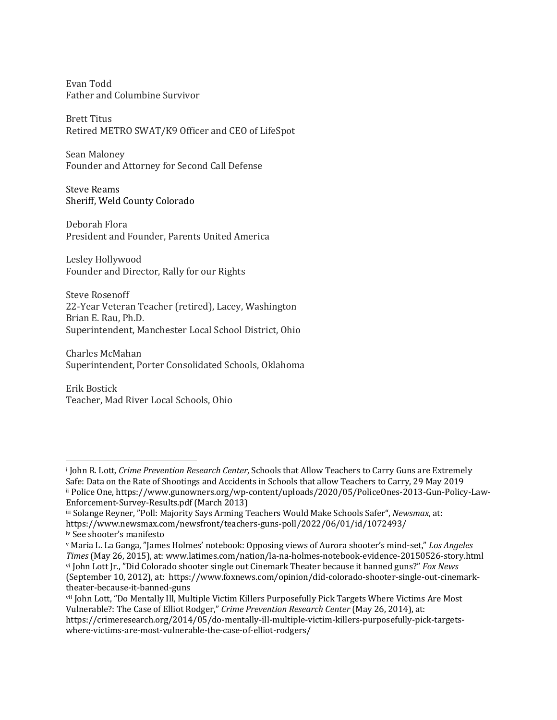Evan Todd Father and Columbine Survivor

**Brett Titus** Retired METRO SWAT/K9 Officer and CEO of LifeSpot

Sean Maloney Founder and Attorney for Second Call Defense

Steve Reams Sheriff, Weld County Colorado

Deborah Flora President and Founder, Parents United America

Lesley Hollywood Founder and Director, Rally for our Rights

Steve Rosenoff 22-Year Veteran Teacher (retired), Lacey, Washington Brian E. Rau, Ph.D. Superintendent, Manchester Local School District, Ohio

Charles McMahan Superintendent, Porter Consolidated Schools, Oklahoma

Erik Bostick Teacher, Mad River Local Schools, Ohio

<sup>&</sup>lt;sup>i</sup> John R. Lott, *Crime Prevention Research Center*, Schools that Allow Teachers to Carry Guns are Extremely Safe: Data on the Rate of Shootings and Accidents in Schools that allow Teachers to Carry, 29 May 2019 ii Police One, https://www.gunowners.org/wp-content/uploads/2020/05/PoliceOnes-2013-Gun-Policy-Law-Enforcement-Survey-Results.pdf (March 2013)

iii Solange Reyner, "Poll: Majority Says Arming Teachers Would Make Schools Safer", *Newsmax*, at: https://www.newsmax.com/newsfront/teachers-guns-poll/2022/06/01/id/1072493/ iv See shooter's manifesto

v Maria L. La Ganga, "James Holmes' notebook: Opposing views of Aurora shooter's mind-set," Los Angeles *Times* (May 26, 2015), at: www.latimes.com/nation/la-na-holmes-notebook-evidence-20150526-story.html vi John Lott Ir., "Did Colorado shooter single out Cinemark Theater because it banned guns?" *Fox News* (September 10, 2012), at: https://www.foxnews.com/opinion/did-colorado-shooter-single-out-cinemarktheater-because-it-banned-guns

vii John Lott, "Do Mentally Ill, Multiple Victim Killers Purposefully Pick Targets Where Victims Are Most Vulnerable?: The Case of Elliot Rodger," *Crime Prevention Research Center* (May 26, 2014), at:

https://crimeresearch.org/2014/05/do-mentally-ill-multiple-victim-killers-purposefully-pick-targetswhere-victims-are-most-vulnerable-the-case-of-elliot-rodgers/